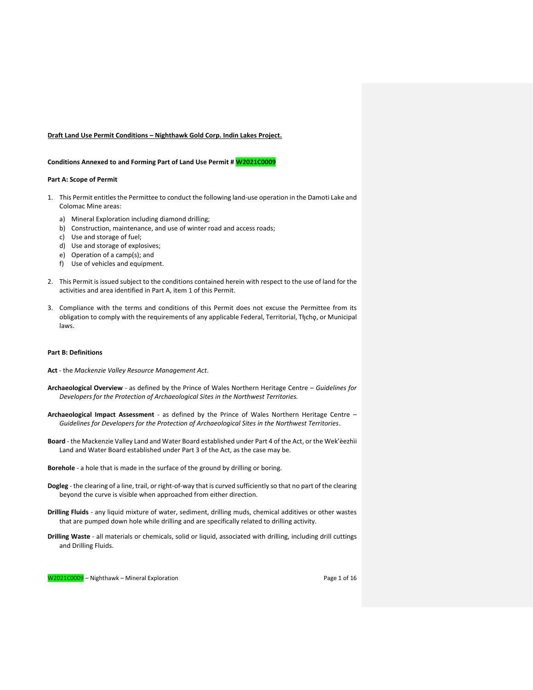### **Draft Land Use Permit Conditions – Nighthawk Gold Corp. Indin Lakes Project.**

## **Conditions Annexed to and Forming Part of Land Use Permit # W2021C0009**

#### **Part A: Scope of Permit**

- 1. This Permit entitles the Permittee to conduct the following land-use operation in the Damoti Lake and Colomac Mine areas:
	- a) Mineral Exploration including diamond drilling;
	- b) Construction, maintenance, and use of winter road and access roads;
	- c) Use and storage of fuel;
	- d) Use and storage of explosives;
	- e) Operation of a camp(s); and
	- f) Use of vehicles and equipment.
- 2. This Permit is issued subject to the conditions contained herein with respect to the use of land for the activities and area identified in Part A, item 1 of this Permit.
- 3. Compliance with the terms and conditions of this Permit does not excuse the Permittee from its obligation to comply with the requirements of any applicable Federal, Territorial, Tłı̨chǫ, or Municipal laws.

### **Part B: Definitions**

- **Act** the *Mackenzie Valley Resource Management Act*.
- **Archaeological Overview**  as defined by the Prince of Wales Northern Heritage Centre *Guidelines for Developers for the Protection of Archaeological Sites in the Northwest Territories.*
- **Archaeological Impact Assessment** as defined by the Prince of Wales Northern Heritage Centre *Guidelines for Developers for the Protection of Archaeological Sites in the Northwest Territories*.
- **Board** the Mackenzie Valley Land and Water Board established under Part 4 of the Act, or the Wek'èezhìi Land and Water Board established under Part 3 of the Act, as the case may be.
- **Borehole** a hole that is made in the surface of the ground by drilling or boring.
- **Dogleg** the clearing of a line, trail, or right-of-way that is curved sufficiently so that no part of the clearing beyond the curve is visible when approached from either direction.
- **Drilling Fluids**  any liquid mixture of water, sediment, drilling muds, chemical additives or other wastes that are pumped down hole while drilling and are specifically related to drilling activity.
- **Drilling Waste** all materials or chemicals, solid or liquid, associated with drilling, including drill cuttings and Drilling Fluids.

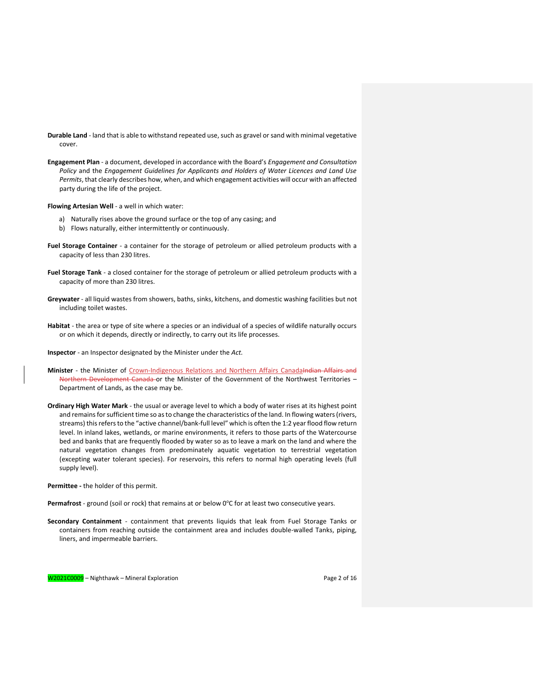- **Durable Land** land that is able to withstand repeated use, such as gravel or sand with minimal vegetative cover.
- **Engagement Plan**  a document, developed in accordance with the Board's *Engagement and Consultation Policy* and the *Engagement Guidelines for Applicants and Holders of Water Licences and Land Use Permits*, that clearly describes how, when, and which engagement activities will occur with an affected party during the life of the project.

**Flowing Artesian Well** - a well in which water:

- a) Naturally rises above the ground surface or the top of any casing; and
- b) Flows naturally, either intermittently or continuously.
- **Fuel Storage Container** a container for the storage of petroleum or allied petroleum products with a capacity of less than 230 litres.
- **Fuel Storage Tank**  a closed container for the storage of petroleum or allied petroleum products with a capacity of more than 230 litres.
- **Greywater** all liquid wastes from showers, baths, sinks, kitchens, and domestic washing facilities but not including toilet wastes.
- **Habitat** the area or type of site where a species or an individual of a species of wildlife naturally occurs or on which it depends, directly or indirectly, to carry out its life processes.
- **Inspector**  an Inspector designated by the Minister under the *Act.*
- Minister the Minister of Crown-Indigenous Relations and Northern Affairs Canadalndian Affairs and Northern Development Canada or the Minister of the Government of the Northwest Territories – Department of Lands, as the case may be.
- **Ordinary High Water Mark**  the usual or average level to which a body of water rises at its highest point and remains for sufficient time so as to change the characteristics of the land. In flowing waters (rivers, streams) this refers to the "active channel/bank-full level" which is often the 1:2 year flood flow return level. In inland lakes, wetlands, or marine environments, it refers to those parts of the Watercourse bed and banks that are frequently flooded by water so as to leave a mark on the land and where the natural vegetation changes from predominately aquatic vegetation to terrestrial vegetation (excepting water tolerant species). For reservoirs, this refers to normal high operating levels (full supply level).

**Permittee -** the holder of this permit.

Permafrost - ground (soil or rock) that remains at or below 0°C for at least two consecutive years.

**Secondary Containment** - containment that prevents liquids that leak from Fuel Storage Tanks or containers from reaching outside the containment area and includes double-walled Tanks, piping, liners, and impermeable barriers.

W2021C0009 – Nighthawk – Mineral Exploration **Page 2** of 16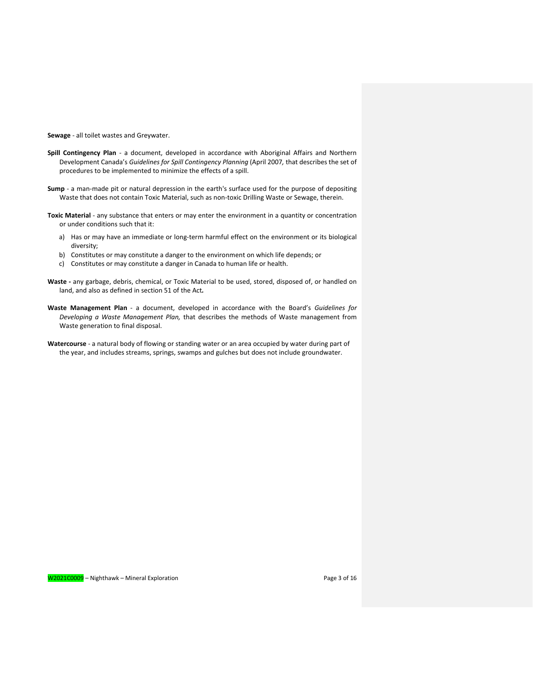**Sewage** - all toilet wastes and Greywater.

- **Spill Contingency Plan** a document, developed in accordance with Aboriginal Affairs and Northern Development Canada's *Guidelines for Spill Contingency Planning* (April 2007*,* that describes the set of procedures to be implemented to minimize the effects of a spill.
- **Sump** a man-made pit or natural depression in the earth's surface used for the purpose of depositing Waste that does not contain Toxic Material, such as non-toxic Drilling Waste or Sewage, therein.
- **Toxic Material**  any substance that enters or may enter the environment in a quantity or concentration or under conditions such that it:
	- a) Has or may have an immediate or long-term harmful effect on the environment or its biological diversity;
	- b) Constitutes or may constitute a danger to the environment on which life depends; or
	- c) Constitutes or may constitute a danger in Canada to human life or health.
- **Waste -** any garbage, debris, chemical, or Toxic Material to be used, stored, disposed of, or handled on land, and also as defined in section 51 of the Act*.*
- **Waste Management Plan** a document, developed in accordance with the Board's *Guidelines for Developing a Waste Management Plan,* that describes the methods of Waste management from Waste generation to final disposal.
- **Watercourse** a natural body of flowing or standing water or an area occupied by water during part of the year, and includes streams, springs, swamps and gulches but does not include groundwater.

W2021C000<mark>9</mark> – Nighthawk – Mineral Exploration Page 3 of 16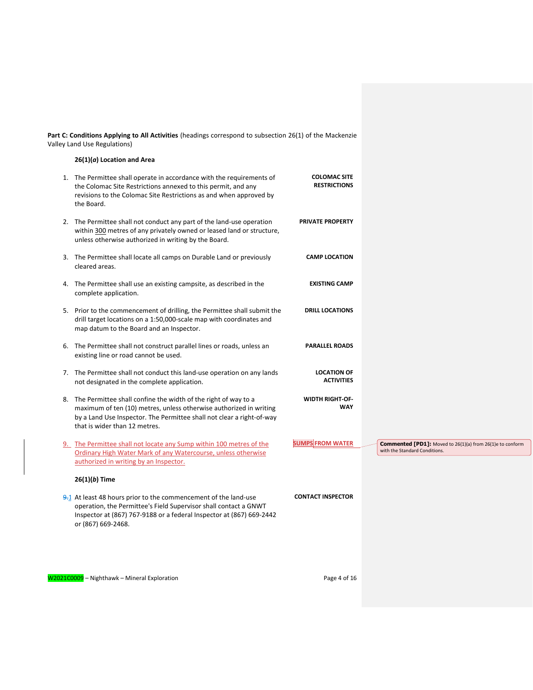**Part C: Conditions Applying to All Activities** (headings correspond to subsection 26(1) of the Mackenzie Valley Land Use Regulations)

### **26(1)(***a***) Location and Area**

- 1. The Permittee shall operate in accordance with the requirements of the Colomac Site Restrictions annexed to this permit, and any revisions to the Colomac Site Restrictions as and when approved by the Board. **COLOMAC SITE RESTRICTIONS** 2. The Permittee shall not conduct any part of the land-use operation within 300 metres of any privately owned or leased land or structure, unless otherwise authorized in writing by the Board. **PRIVATE PROPERTY** 3. The Permittee shall locate all camps on Durable Land or previously cleared areas. **CAMP LOCATION** 4. The Permittee shall use an existing campsite, as described in the complete application. **EXISTING CAMP** 5. Prior to the commencement of drilling, the Permittee shall submit the drill target locations on a 1:50,000-scale map with coordinates and map datum to the Board and an Inspector. **DRILL LOCATIONS** 6. The Permittee shall not construct parallel lines or roads, unless an existing line or road cannot be used. **PARALLEL ROADS** 7. The Permittee shall not conduct this land-use operation on any lands not designated in the complete application. **LOCATION OF ACTIVITIES** 8. The Permittee shall confine the width of the right of way to a maximum of ten (10) metres, unless otherwise authorized in writing by a Land Use Inspector. The Permittee shall not clear a right-of-way that is wider than 12 metres. **WIDTH RIGHT-OF-WAY** 9. The Permittee shall not locate any Sump within 100 metres of the Ordinary High Water Mark of any Watercourse, unless otherwise authorized in writing by an Inspector. **SUMPS FROM WATER 26(1)(***b***) Time**
- 9.1 At least 48 hours prior to the commencement of the land-use operation, the Permittee's Field Supervisor shall contact a GNWT Inspector at (867) 767-9188 or a federal Inspector at (867) 669-2442 or (867) 669-2468.



**CONTACT INSPECTOR**

**Commented [PD1]:** Moved to 26(1)(a) from 26(1)e to conform with the Standard Conditions.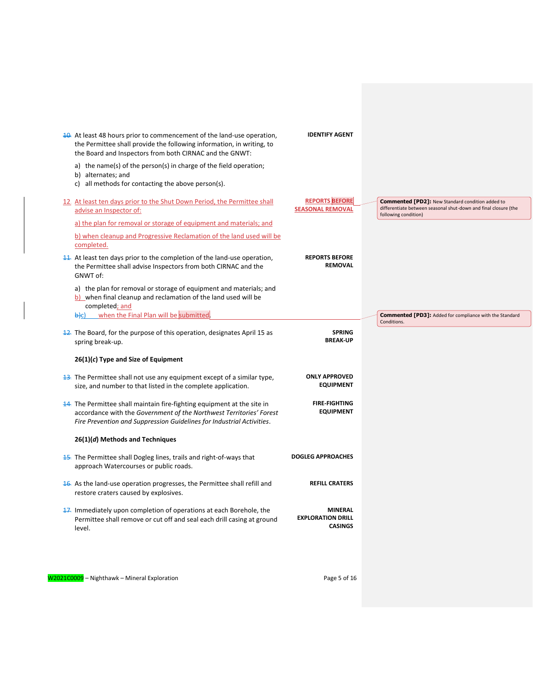| 10. At least 48 hours prior to commencement of the land-use operation,<br>the Permittee shall provide the following information, in writing, to<br>the Board and Inspectors from both CIRNAC and the GNWT:              | <b>IDENTIFY AGENT</b>                                        |                                                                                                                                                    |
|-------------------------------------------------------------------------------------------------------------------------------------------------------------------------------------------------------------------------|--------------------------------------------------------------|----------------------------------------------------------------------------------------------------------------------------------------------------|
| a) the name(s) of the person(s) in charge of the field operation;<br>b) alternates; and<br>c) all methods for contacting the above person(s).                                                                           |                                                              |                                                                                                                                                    |
| 12. At least ten days prior to the Shut Down Period, the Permittee shall<br>advise an Inspector of:                                                                                                                     | <b>REPORTS BEFORE</b><br><b>SEASONAL REMOVAL</b>             | <b>Commented [PD2]:</b> New Standard condition added to<br>differentiate between seasonal shut-down and final closure (the<br>following condition) |
| a) the plan for removal or storage of equipment and materials; and                                                                                                                                                      |                                                              |                                                                                                                                                    |
| b) when cleanup and Progressive Reclamation of the land used will be<br>completed.                                                                                                                                      |                                                              |                                                                                                                                                    |
| 11. At least ten days prior to the completion of the land-use operation,<br>the Permittee shall advise Inspectors from both CIRNAC and the<br>GNWT of:                                                                  | <b>REPORTS BEFORE</b><br><b>REMOVAL</b>                      |                                                                                                                                                    |
| a) the plan for removal or storage of equipment and materials; and<br>b) when final cleanup and reclamation of the land used will be<br>completed; and                                                                  |                                                              |                                                                                                                                                    |
| when the Final Plan will be submitted<br><del>b)</del> c)                                                                                                                                                               |                                                              | <b>Commented [PD3]:</b> Added for compliance with the Standard<br>Conditions.                                                                      |
| 12. The Board, for the purpose of this operation, designates April 15 as<br>spring break-up.                                                                                                                            | <b>SPRING</b><br><b>BREAK-UP</b>                             |                                                                                                                                                    |
| $26(1)(c)$ Type and Size of Equipment                                                                                                                                                                                   |                                                              |                                                                                                                                                    |
| 13. The Permittee shall not use any equipment except of a similar type,<br>size, and number to that listed in the complete application.                                                                                 | <b>ONLY APPROVED</b><br><b>EQUIPMENT</b>                     |                                                                                                                                                    |
| 14. The Permittee shall maintain fire-fighting equipment at the site in<br>accordance with the Government of the Northwest Territories' Forest<br>Fire Prevention and Suppression Guidelines for Industrial Activities. | <b>FIRE-FIGHTING</b><br><b>EQUIPMENT</b>                     |                                                                                                                                                    |
| 26(1)(d) Methods and Techniques                                                                                                                                                                                         |                                                              |                                                                                                                                                    |
| <b>15.</b> The Permittee shall Dogleg lines, trails and right-of-ways that<br>approach Watercourses or public roads.                                                                                                    | <b>DOGLEG APPROACHES</b>                                     |                                                                                                                                                    |
| 16. As the land-use operation progresses, the Permittee shall refill and<br>restore craters caused by explosives.                                                                                                       | <b>REFILL CRATERS</b>                                        |                                                                                                                                                    |
| 17. Immediately upon completion of operations at each Borehole, the<br>Permittee shall remove or cut off and seal each drill casing at ground<br>level.                                                                 | <b>MINERAL</b><br><b>EXPLORATION DRILL</b><br><b>CASINGS</b> |                                                                                                                                                    |
|                                                                                                                                                                                                                         |                                                              |                                                                                                                                                    |
|                                                                                                                                                                                                                         |                                                              |                                                                                                                                                    |

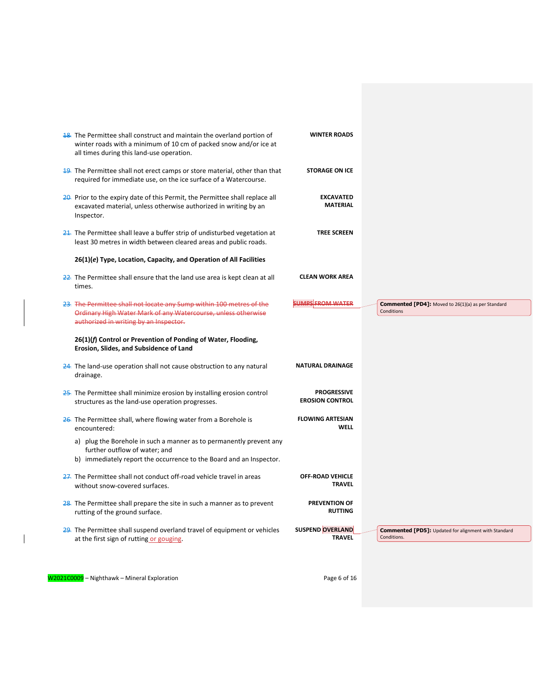| 18. The Permittee shall construct and maintain the overland portion of<br>winter roads with a minimum of 10 cm of packed snow and/or ice at<br>all times during this land-use operation. | <b>WINTER ROADS</b>                          |                                                                         |
|------------------------------------------------------------------------------------------------------------------------------------------------------------------------------------------|----------------------------------------------|-------------------------------------------------------------------------|
| 19. The Permittee shall not erect camps or store material, other than that<br>required for immediate use, on the ice surface of a Watercourse.                                           | <b>STORAGE ON ICE</b>                        |                                                                         |
| 20. Prior to the expiry date of this Permit, the Permittee shall replace all<br>excavated material, unless otherwise authorized in writing by an<br>Inspector.                           | <b>EXCAVATED</b><br><b>MATERIAL</b>          |                                                                         |
| 21. The Permittee shall leave a buffer strip of undisturbed vegetation at<br>least 30 metres in width between cleared areas and public roads.                                            | <b>TREE SCREEN</b>                           |                                                                         |
| 26(1)(e) Type, Location, Capacity, and Operation of All Facilities                                                                                                                       |                                              |                                                                         |
| 22. The Permittee shall ensure that the land use area is kept clean at all<br>times.                                                                                                     | <b>CLEAN WORK AREA</b>                       |                                                                         |
| 23. The Permittee shall not locate any Sump within 100 metres of the<br>Ordinary High Water Mark of any Watercourse, unless otherwise                                                    | <b>SUMPS FROM WATER</b>                      | <b>Commented [PD4]:</b> Moved to 26(1)(a) as per Standard<br>Conditions |
| authorized in writing by an Inspector.                                                                                                                                                   |                                              |                                                                         |
| 26(1)(f) Control or Prevention of Ponding of Water, Flooding,<br>Erosion, Slides, and Subsidence of Land                                                                                 |                                              |                                                                         |
| 24. The land-use operation shall not cause obstruction to any natural<br>drainage.                                                                                                       | <b>NATURAL DRAINAGE</b>                      |                                                                         |
| 25. The Permittee shall minimize erosion by installing erosion control<br>structures as the land-use operation progresses.                                                               | <b>PROGRESSIVE</b><br><b>EROSION CONTROL</b> |                                                                         |
| 26. The Permittee shall, where flowing water from a Borehole is<br>encountered:                                                                                                          | <b>FLOWING ARTESIAN</b><br>WELL              |                                                                         |
| a) plug the Borehole in such a manner as to permanently prevent any<br>further outflow of water; and<br>b) immediately report the occurrence to the Board and an Inspector.              |                                              |                                                                         |
| 27. The Permittee shall not conduct off-road vehicle travel in areas<br>without snow-covered surfaces.                                                                                   | <b>OFF-ROAD VEHICLE</b><br><b>TRAVEL</b>     |                                                                         |
| 28. The Permittee shall prepare the site in such a manner as to prevent<br>rutting of the ground surface.                                                                                | <b>PREVENTION OF</b><br><b>RUTTING</b>       |                                                                         |

W2021C0009 - Nighthawk - Mineral Exploration Page 6 of 16

 $\overline{\phantom{a}}$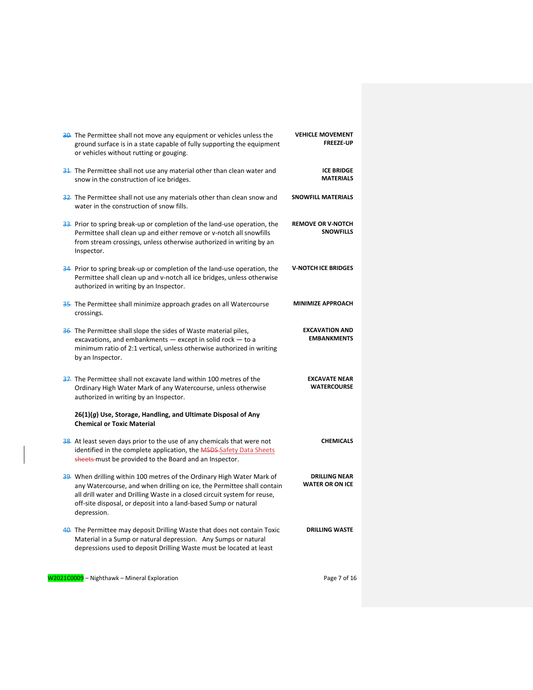| 30. The Permittee shall not move any equipment or vehicles unless the<br>ground surface is in a state capable of fully supporting the equipment<br>or vehicles without rutting or gouging.                                                                                                                     | <b>VEHICLE MOVEMENT</b><br><b>FREEZE-UP</b>    |
|----------------------------------------------------------------------------------------------------------------------------------------------------------------------------------------------------------------------------------------------------------------------------------------------------------------|------------------------------------------------|
| 31. The Permittee shall not use any material other than clean water and<br>snow in the construction of ice bridges.                                                                                                                                                                                            | <b>ICE BRIDGE</b><br><b>MATERIALS</b>          |
| 32. The Permittee shall not use any materials other than clean snow and<br>water in the construction of snow fills.                                                                                                                                                                                            | <b>SNOWFILL MATERIALS</b>                      |
| 33. Prior to spring break-up or completion of the land-use operation, the<br>Permittee shall clean up and either remove or v-notch all snowfills<br>from stream crossings, unless otherwise authorized in writing by an<br>Inspector.                                                                          | <b>REMOVE OR V-NOTCH</b><br><b>SNOWFILLS</b>   |
| 34. Prior to spring break-up or completion of the land-use operation, the<br>Permittee shall clean up and v-notch all ice bridges, unless otherwise<br>authorized in writing by an Inspector.                                                                                                                  | <b>V-NOTCH ICE BRIDGES</b>                     |
| 35. The Permittee shall minimize approach grades on all Watercourse<br>crossings.                                                                                                                                                                                                                              | <b>MINIMIZE APPROACH</b>                       |
| 36. The Permittee shall slope the sides of Waste material piles,<br>excavations, and embankments $-$ except in solid rock $-$ to a<br>minimum ratio of 2:1 vertical, unless otherwise authorized in writing<br>by an Inspector.                                                                                | <b>EXCAVATION AND</b><br><b>EMBANKMENTS</b>    |
| 37. The Permittee shall not excavate land within 100 metres of the<br>Ordinary High Water Mark of any Watercourse, unless otherwise<br>authorized in writing by an Inspector.                                                                                                                                  | <b>EXCAVATE NEAR</b><br><b>WATERCOURSE</b>     |
| 26(1)(g) Use, Storage, Handling, and Ultimate Disposal of Any<br><b>Chemical or Toxic Material</b>                                                                                                                                                                                                             |                                                |
| 38. At least seven days prior to the use of any chemicals that were not<br>identified in the complete application, the MSDS Safety Data Sheets<br>sheets-must be provided to the Board and an Inspector.                                                                                                       | <b>CHEMICALS</b>                               |
| 39. When drilling within 100 metres of the Ordinary High Water Mark of<br>any Watercourse, and when drilling on ice, the Permittee shall contain<br>all drill water and Drilling Waste in a closed circuit system for reuse,<br>off-site disposal, or deposit into a land-based Sump or natural<br>depression. | <b>DRILLING NEAR</b><br><b>WATER OR ON ICE</b> |
| 40. The Permittee may deposit Drilling Waste that does not contain Toxic<br>Material in a Sump or natural depression. Any Sumps or natural<br>depressions used to deposit Drilling Waste must be located at least                                                                                              | <b>DRILLING WASTE</b>                          |
| W2021C0009 - Nighthawk - Mineral Exploration                                                                                                                                                                                                                                                                   | Page 7 of 16                                   |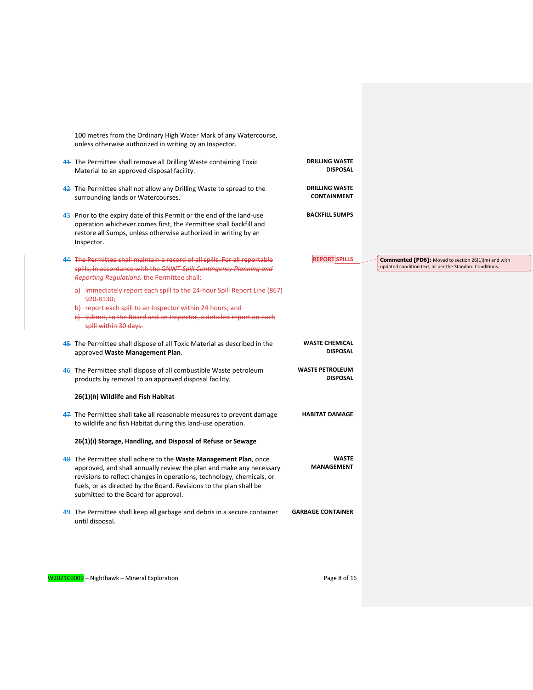| 100 metres from the Ordinary High Water Mark of any Watercourse,<br>unless otherwise authorized in writing by an Inspector.                                                                                                                                                                                                     |                                             |
|---------------------------------------------------------------------------------------------------------------------------------------------------------------------------------------------------------------------------------------------------------------------------------------------------------------------------------|---------------------------------------------|
| 41. The Permittee shall remove all Drilling Waste containing Toxic<br>Material to an approved disposal facility.                                                                                                                                                                                                                | <b>DRILLING WASTE</b><br><b>DISPOSAL</b>    |
| 42. The Permittee shall not allow any Drilling Waste to spread to the<br>surrounding lands or Watercourses.                                                                                                                                                                                                                     | <b>DRILLING WASTE</b><br><b>CONTAINMENT</b> |
| 43. Prior to the expiry date of this Permit or the end of the land-use<br>operation whichever comes first, the Permittee shall backfill and<br>restore all Sumps, unless otherwise authorized in writing by an<br>Inspector.                                                                                                    | <b>BACKFILL SUMPS</b>                       |
| 44. The Permittee shall maintain a record of all spills. For all reportable<br>spills, in accordance with the GNWT Spill Contingency Planning and<br>Reporting Regulations, the Permittee shall:                                                                                                                                | <b>REPORT SPILLS</b>                        |
| a) immediately report each spill to the 24-hour Spill Report Line (867)<br>920-8130:<br>b) report each spill to an Inspector within 24 hours; and<br>c) - submit, to the Board and an Inspector, a detailed report on each<br>spill within 30 days.                                                                             |                                             |
| 45. The Permittee shall dispose of all Toxic Material as described in the<br>approved Waste Management Plan.                                                                                                                                                                                                                    | <b>WASTE CHEMICAL</b><br><b>DISPOSAL</b>    |
| 46. The Permittee shall dispose of all combustible Waste petroleum<br>products by removal to an approved disposal facility.                                                                                                                                                                                                     | <b>WASTE PETROLEUM</b><br><b>DISPOSAL</b>   |
| 26(1)(h) Wildlife and Fish Habitat                                                                                                                                                                                                                                                                                              |                                             |
| 47. The Permittee shall take all reasonable measures to prevent damage<br>to wildlife and fish Habitat during this land-use operation.                                                                                                                                                                                          | <b>HABITAT DAMAGE</b>                       |
| 26(1)(i) Storage, Handling, and Disposal of Refuse or Sewage                                                                                                                                                                                                                                                                    |                                             |
|                                                                                                                                                                                                                                                                                                                                 |                                             |
| 48. The Permittee shall adhere to the Waste Management Plan, once<br>approved, and shall annually review the plan and make any necessary<br>revisions to reflect changes in operations, technology, chemicals, or<br>fuels, or as directed by the Board. Revisions to the plan shall be<br>submitted to the Board for approval. | <b>WASTE</b><br><b>MANAGEMENT</b>           |
| 49. The Permittee shall keep all garbage and debris in a secure container<br>until disposal.                                                                                                                                                                                                                                    | <b>GARBAGE CONTAINER</b>                    |
|                                                                                                                                                                                                                                                                                                                                 |                                             |

W2021C0009 - Nighthawk - Mineral Exploration Page 8 of 16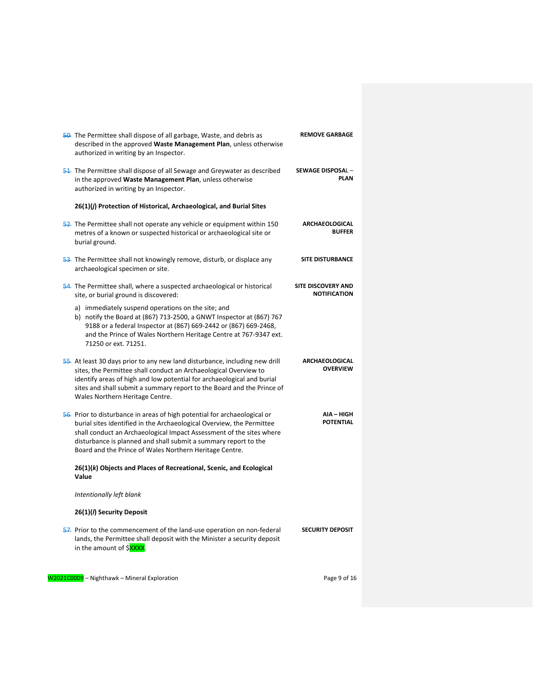| 50. The Permittee shall dispose of all garbage, Waste, and debris as<br>described in the approved Waste Management Plan, unless otherwise<br>authorized in writing by an Inspector.                                                                                                                                                                      | <b>REMOVE GARBAGE</b>                            |
|----------------------------------------------------------------------------------------------------------------------------------------------------------------------------------------------------------------------------------------------------------------------------------------------------------------------------------------------------------|--------------------------------------------------|
| 51. The Permittee shall dispose of all Sewage and Greywater as described<br>in the approved Waste Management Plan, unless otherwise<br>authorized in writing by an Inspector.                                                                                                                                                                            | SEWAGE DISPOSAL-<br><b>PLAN</b>                  |
| 26(1)(j) Protection of Historical, Archaeological, and Burial Sites                                                                                                                                                                                                                                                                                      |                                                  |
| 52. The Permittee shall not operate any vehicle or equipment within 150<br>metres of a known or suspected historical or archaeological site or<br>burial ground.                                                                                                                                                                                         | <b>ARCHAEOLOGICAL</b><br><b>BUFFER</b>           |
| 53. The Permittee shall not knowingly remove, disturb, or displace any<br>archaeological specimen or site.                                                                                                                                                                                                                                               | <b>SITE DISTURBANCE</b>                          |
| 54. The Permittee shall, where a suspected archaeological or historical<br>site, or burial ground is discovered:                                                                                                                                                                                                                                         | <b>SITE DISCOVERY AND</b><br><b>NOTIFICATION</b> |
| a) immediately suspend operations on the site; and<br>b) notify the Board at (867) 713-2500, a GNWT Inspector at (867) 767<br>9188 or a federal Inspector at (867) 669-2442 or (867) 669-2468,<br>and the Prince of Wales Northern Heritage Centre at 767-9347 ext.<br>71250 or ext. 71251.                                                              |                                                  |
| 55. At least 30 days prior to any new land disturbance, including new drill<br>sites, the Permittee shall conduct an Archaeological Overview to<br>identify areas of high and low potential for archaeological and burial<br>sites and shall submit a summary report to the Board and the Prince of<br>Wales Northern Heritage Centre.                   | <b>ARCHAEOLOGICAL</b><br><b>OVERVIEW</b>         |
| 56. Prior to disturbance in areas of high potential for archaeological or<br>burial sites identified in the Archaeological Overview, the Permittee<br>shall conduct an Archaeological Impact Assessment of the sites where<br>disturbance is planned and shall submit a summary report to the<br>Board and the Prince of Wales Northern Heritage Centre. | AIA – HIGH<br><b>POTENTIAL</b>                   |
| 26(1)(k) Objects and Places of Recreational, Scenic, and Ecological<br>Value                                                                                                                                                                                                                                                                             |                                                  |
| Intentionally left blank                                                                                                                                                                                                                                                                                                                                 |                                                  |
| 26(1)( <i>l</i> ) Security Deposit                                                                                                                                                                                                                                                                                                                       |                                                  |
| 57. Prior to the commencement of the land-use operation on non-federal<br>lands, the Permittee shall deposit with the Minister a security deposit<br>in the amount of \$XXXX.                                                                                                                                                                            | <b>SECURITY DEPOSIT</b>                          |
| W2021C0009 - Nighthawk - Mineral Exploration                                                                                                                                                                                                                                                                                                             | Page 9 of 16                                     |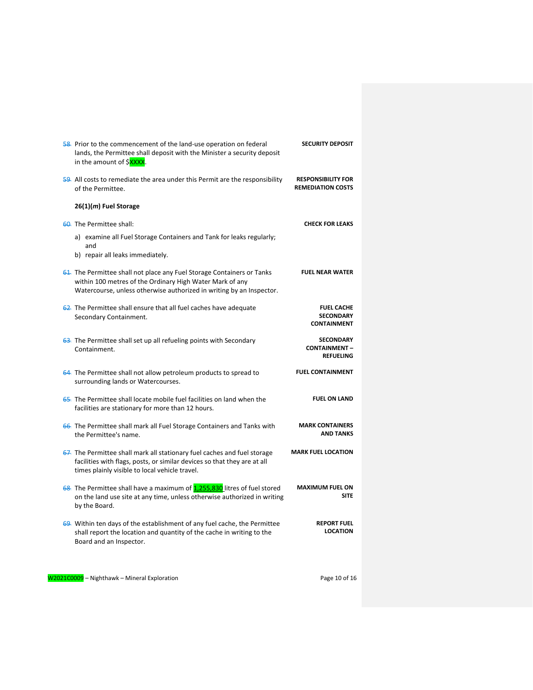| 58. Prior to the commencement of the land-use operation on federal<br>lands, the Permittee shall deposit with the Minister a security deposit<br>in the amount of \$XXXX.                                  | <b>SECURITY DEPOSIT</b>                                     |
|------------------------------------------------------------------------------------------------------------------------------------------------------------------------------------------------------------|-------------------------------------------------------------|
| 59. All costs to remediate the area under this Permit are the responsibility<br>of the Permittee.                                                                                                          | <b>RESPONSIBILITY FOR</b><br><b>REMEDIATION COSTS</b>       |
| $26(1)(m)$ Fuel Storage                                                                                                                                                                                    |                                                             |
| 60. The Permittee shall:                                                                                                                                                                                   | <b>CHECK FOR LEAKS</b>                                      |
| a) examine all Fuel Storage Containers and Tank for leaks regularly;<br>and                                                                                                                                |                                                             |
| b) repair all leaks immediately.                                                                                                                                                                           |                                                             |
| 61. The Permittee shall not place any Fuel Storage Containers or Tanks<br>within 100 metres of the Ordinary High Water Mark of any<br>Watercourse, unless otherwise authorized in writing by an Inspector. | <b>FUEL NEAR WATER</b>                                      |
| 62. The Permittee shall ensure that all fuel caches have adequate<br>Secondary Containment.                                                                                                                | <b>FUEL CACHE</b><br><b>SECONDARY</b><br><b>CONTAINMENT</b> |
| 63. The Permittee shall set up all refueling points with Secondary<br>Containment.                                                                                                                         | <b>SECONDARY</b><br><b>CONTAINMENT-</b><br><b>REFUELING</b> |
| 64. The Permittee shall not allow petroleum products to spread to<br>surrounding lands or Watercourses.                                                                                                    | <b>FUEL CONTAINMENT</b>                                     |
| 65. The Permittee shall locate mobile fuel facilities on land when the<br>facilities are stationary for more than 12 hours.                                                                                | <b>FUEL ON LAND</b>                                         |
| 66. The Permittee shall mark all Fuel Storage Containers and Tanks with<br>the Permittee's name.                                                                                                           | <b>MARK CONTAINERS</b><br><b>AND TANKS</b>                  |
| 67. The Permittee shall mark all stationary fuel caches and fuel storage<br>facilities with flags, posts, or similar devices so that they are at all<br>times plainly visible to local vehicle travel.     | <b>MARK FUEL LOCATION</b>                                   |
| 68. The Permittee shall have a maximum of 1,255,830 litres of fuel stored<br>on the land use site at any time, unless otherwise authorized in writing<br>by the Board.                                     | <b>MAXIMUM FUEL ON</b><br><b>SITE</b>                       |
| 69. Within ten days of the establishment of any fuel cache, the Permittee<br>shall report the location and quantity of the cache in writing to the<br>Board and an Inspector.                              | <b>REPORT FUEL</b><br><b>LOCATION</b>                       |
| W2021C0009 - Nighthawk - Mineral Exploration                                                                                                                                                               | Page 10 of 16                                               |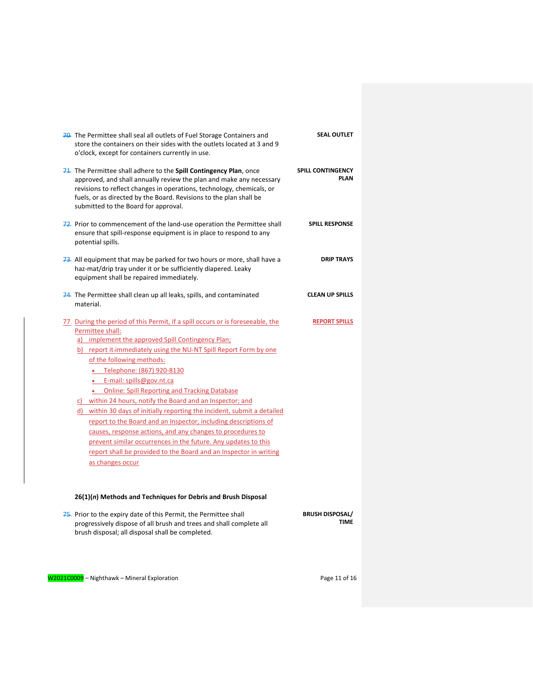| 70. The Permittee shall seal all outlets of Fuel Storage Containers and<br>store the containers on their sides with the outlets located at 3 and 9<br>o'clock, except for containers currently in use.                                                                                                                                                                                                                                                                                                                                                                                                                                                                                                                                                                                                          | <b>SEAL OUTLET</b>                      |
|-----------------------------------------------------------------------------------------------------------------------------------------------------------------------------------------------------------------------------------------------------------------------------------------------------------------------------------------------------------------------------------------------------------------------------------------------------------------------------------------------------------------------------------------------------------------------------------------------------------------------------------------------------------------------------------------------------------------------------------------------------------------------------------------------------------------|-----------------------------------------|
| 71. The Permittee shall adhere to the Spill Contingency Plan, once<br>approved, and shall annually review the plan and make any necessary<br>revisions to reflect changes in operations, technology, chemicals, or<br>fuels, or as directed by the Board. Revisions to the plan shall be<br>submitted to the Board for approval.                                                                                                                                                                                                                                                                                                                                                                                                                                                                                | <b>SPILL CONTINGENCY</b><br><b>PLAN</b> |
| 72. Prior to commencement of the land-use operation the Permittee shall<br>ensure that spill-response equipment is in place to respond to any<br>potential spills.                                                                                                                                                                                                                                                                                                                                                                                                                                                                                                                                                                                                                                              | <b>SPILL RESPONSE</b>                   |
| 73. All equipment that may be parked for two hours or more, shall have a<br>haz-mat/drip tray under it or be sufficiently diapered. Leaky<br>equipment shall be repaired immediately.                                                                                                                                                                                                                                                                                                                                                                                                                                                                                                                                                                                                                           | <b>DRIP TRAYS</b>                       |
| 74. The Permittee shall clean up all leaks, spills, and contaminated<br>material.                                                                                                                                                                                                                                                                                                                                                                                                                                                                                                                                                                                                                                                                                                                               | <b>CLEAN UP SPILLS</b>                  |
| 77. During the period of this Permit, if a spill occurs or is foreseeable, the<br>Permittee shall:<br>a) implement the approved Spill Contingency Plan;<br>b) report it-immediately using the NU-NT Spill Report Form by one<br>of the following methods:<br>• Telephone: (867) 920-8130<br>• E-mail: spills@gov.nt.ca<br>• Online: Spill Reporting and Tracking Database<br>c) within 24 hours, notify the Board and an Inspector; and<br>d) within 30 days of initially reporting the incident, submit a detailed<br>report to the Board and an Inspector, including descriptions of<br>causes, response actions, and any changes to procedures to<br>prevent similar occurrences in the future. Any updates to this<br>report shall be provided to the Board and an Inspector in writing<br>as changes occur | <b>REPORT SPILLS</b>                    |

# **26(1)(***n***) Methods and Techniques for Debris and Brush Disposal**

| 75. Prior to the expiry date of this Permit, the Permittee shall    | <b>BRUSH DISPOSAL/</b> |
|---------------------------------------------------------------------|------------------------|
| progressively dispose of all brush and trees and shall complete all | TIME                   |
| brush disposal; all disposal shall be completed.                    |                        |

W2021C0009 - Nighthawk - Mineral Exploration Page 11 of 16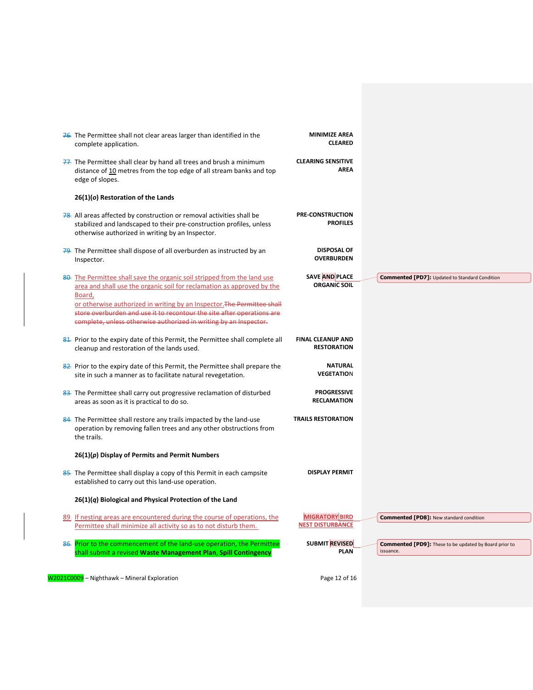| 76. The Permittee shall not clear areas larger than identified in the<br>complete application.                                                                                                                                          | <b>MINIMIZE AREA</b><br><b>CLEARED</b>           |                                                               |
|-----------------------------------------------------------------------------------------------------------------------------------------------------------------------------------------------------------------------------------------|--------------------------------------------------|---------------------------------------------------------------|
| 77. The Permittee shall clear by hand all trees and brush a minimum<br>distance of 10 metres from the top edge of all stream banks and top<br>edge of slopes.                                                                           | <b>CLEARING SENSITIVE</b><br><b>AREA</b>         |                                                               |
| $26(1)(o)$ Restoration of the Lands                                                                                                                                                                                                     |                                                  |                                                               |
| 78. All areas affected by construction or removal activities shall be<br>stabilized and landscaped to their pre-construction profiles, unless<br>otherwise authorized in writing by an Inspector.                                       | <b>PRE-CONSTRUCTION</b><br><b>PROFILES</b>       |                                                               |
| 79. The Permittee shall dispose of all overburden as instructed by an<br>Inspector.                                                                                                                                                     | <b>DISPOSAL OF</b><br><b>OVERBURDEN</b>          |                                                               |
| 80. The Permittee shall save the organic soil stripped from the land use<br>area and shall use the organic soil for reclamation as approved by the<br>Board,<br>or otherwise authorized in writing by an Inspector. The Permittee shall | <b>SAVE AND PLACE</b><br><b>ORGANIC SOIL</b>     | <b>Commented [PD7]: Updated to Standard Condition</b>         |
| store overburden and use it to recontour the site after operations are<br>complete, unless otherwise authorized in writing by an Inspector.                                                                                             |                                                  |                                                               |
| 81. Prior to the expiry date of this Permit, the Permittee shall complete all<br>cleanup and restoration of the lands used.                                                                                                             | <b>FINAL CLEANUP AND</b><br><b>RESTORATION</b>   |                                                               |
| 82. Prior to the expiry date of this Permit, the Permittee shall prepare the<br>site in such a manner as to facilitate natural revegetation.                                                                                            | <b>NATURAL</b><br><b>VEGETATION</b>              |                                                               |
| 83. The Permittee shall carry out progressive reclamation of disturbed<br>areas as soon as it is practical to do so.                                                                                                                    | <b>PROGRESSIVE</b><br>RECLAMATION                |                                                               |
| 84. The Permittee shall restore any trails impacted by the land-use<br>operation by removing fallen trees and any other obstructions from<br>the trails.                                                                                | <b>TRAILS RESTORATION</b>                        |                                                               |
| $26(1)(p)$ Display of Permits and Permit Numbers                                                                                                                                                                                        |                                                  |                                                               |
| 85. The Permittee shall display a copy of this Permit in each campsite<br>established to carry out this land-use operation.                                                                                                             | <b>DISPLAY PERMIT</b>                            |                                                               |
| $26(1)(q)$ Biological and Physical Protection of the Land                                                                                                                                                                               |                                                  |                                                               |
| 89. If nesting areas are encountered during the course of operations, the<br>Permittee shall minimize all activity so as to not disturb them.                                                                                           | <b>MIGRATORY BIRD</b><br><b>NEST DISTURBANCE</b> | <b>Commented [PD8]: New standard condition</b>                |
| 86. Prior to the commencement of the land-use operation, the Permittee                                                                                                                                                                  | SUBMIT REVISED                                   | <b>Commented [PD9]:</b> These to be updated by Board prior to |

W2021C0009 - Nighthawk - Mineral Exploration Page 12 of 16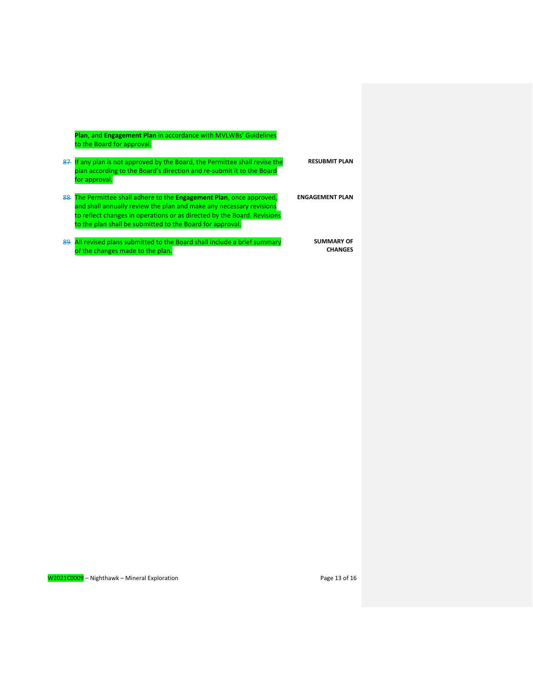**Plan**, and **Engagement Plan** in accordance with MVLWBs' Guidelines to the Board for approval.

- 87. If any plan is not approved by the Board, the Permittee shall revise the plan according to the Board's direction and re-submit it to the Board for approval. **RESUBMIT PLAN ENGAGEMENT PLAN**
- 88. The Permittee shall adhere to the **Engagement Plan**, once approved, and shall annually review the plan and make any necessary revisions to reflect changes in operations or as directed by the Board. Revisions to the plan shall be submitted to the Board for approval.
- 89. All revised plans submitted to the Board shall include a brief summary of the changes made to the plan.

W2021C0009 - Nighthawk - Mineral Exploration **Page 13 of 16** Page 13 of 16

**SUMMARY OF CHANGES**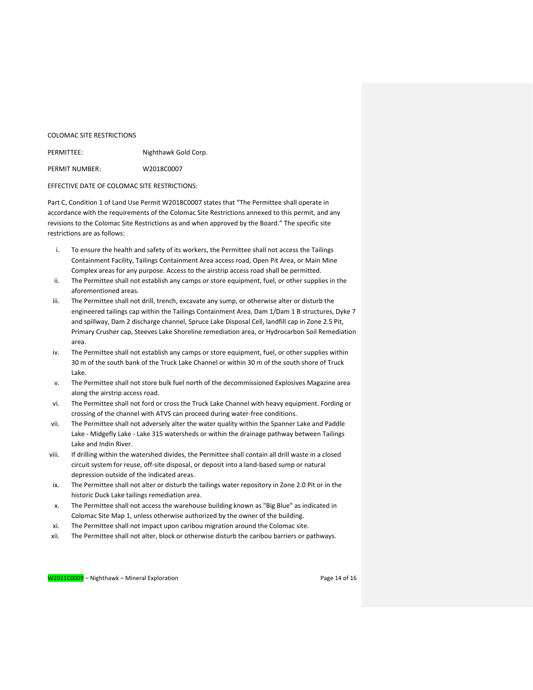### COLOMAC SITE RESTRICTIONS

| PERMITTEE:     | Nighthawk Gold Corp. |
|----------------|----------------------|
| PERMIT NUMBER: | W2018C0007           |

### EFFECTIVE DATE OF COLOMAC SITE RESTRICTIONS:

Part C, Condition 1 of Land Use Permit W2018C0007 states that "The Permittee shall operate in accordance with the requirements of the Colomac Site Restrictions annexed to this permit, and any revisions to the Colomac Site Restrictions as and when approved by the Board." The specific site restrictions are as follows:

- i. To ensure the health and safety of its workers, the Permittee shall not access the Tailings Containment Facility, Tailings Containment Area access road, Open Pit Area, or Main Mine Complex areas for any purpose. Access to the airstrip access road shall be permitted.
- ii. The Permittee shall not establish any camps or store equipment, fuel, or other supplies in the aforementioned areas.
- iii. The Permittee shall not drill, trench, excavate any sump, or otherwise alter or disturb the engineered tailings cap within the Tailings Containment Area, Dam 1/Dam 1 B structures, Dyke 7 and spillway, Dam 2 discharge channel, Spruce Lake Disposal Cell, landfill cap in Zone 2.5 Pit, Primary Crusher cap, Steeves Lake Shoreline remediation area, or Hydrocarbon Soil Remediation area.
- iv. The Permittee shall not establish any camps or store equipment, fuel, or other supplies within 30 m of the south bank of the Truck Lake Channel or within 30 m of the south shore of Truck Lake.
- v. The Permittee shall not store bulk fuel north of the decommissioned Explosives Magazine area along the airstrip access road.
- vi. The Permittee shall not ford or cross the Truck Lake Channel with heavy equipment. Fording or crossing of the channel with ATVS can proceed during water-free conditions.
- vii. The Permittee shall not adversely alter the water quality within the Spanner Lake and Paddle Lake - Midgefly Lake - Lake 315 watersheds or within the drainage pathway between Tailings Lake and Indin River.
- viii. If drilling within the watershed divides, the Permittee shall contain all drill waste in a closed circuit system for reuse, off-site disposal, or deposit into a land-based sump or natural depression outside of the indicated areas.
- ix. The Permittee shall not alter or disturb the tailings water repository in Zone 2.0 Pit or in the historic Duck Lake tailings remediation area.
- x. The Permittee shall not access the warehouse building known as "Big Blue" as indicated in Colomac Site Map 1, unless otherwise authorized by the owner of the building.
- xi. The Permittee shall not impact upon caribou migration around the Colomac site.
- xii. The Permittee shall not alter, block or otherwise disturb the caribou barriers or pathways.

W2021C0009 – Nighthawk – Mineral Exploration Page 14 of 16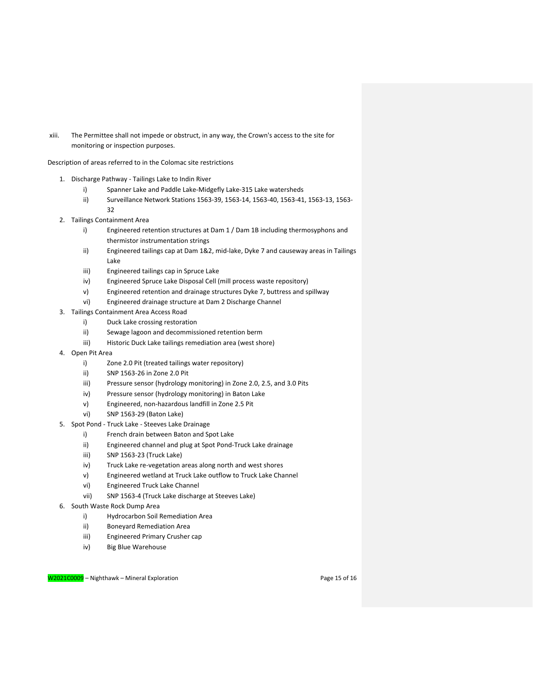xiii. The Permittee shall not impede or obstruct, in any way, the Crown's access to the site for monitoring or inspection purposes.

Description of areas referred to in the Colomac site restrictions

- 1. Discharge Pathway Tailings Lake to Indin River
	- i) Spanner Lake and Paddle Lake-Midgefly Lake-315 Lake watersheds
	- ii) Surveillance Network Stations 1563-39, 1563-14, 1563-40, 1563-41, 1563-13, 1563- 32
- 2. Tailings Containment Area
	- i) Engineered retention structures at Dam 1 / Dam 1B including thermosyphons and thermistor instrumentation strings
	- ii) Engineered tailings cap at Dam 1&2, mid-lake, Dyke 7 and causeway areas in Tailings Lake
	- iii) Engineered tailings cap in Spruce Lake
	- iv) Engineered Spruce Lake Disposal Cell (mill process waste repository)
	- v) Engineered retention and drainage structures Dyke 7, buttress and spillway
	- vi) Engineered drainage structure at Dam 2 Discharge Channel
- 3. Tailings Containment Area Access Road
	- i) Duck Lake crossing restoration
	- ii) Sewage lagoon and decommissioned retention berm
	- iii) Historic Duck Lake tailings remediation area (west shore)
- 4. Open Pit Area
	- i) Zone 2.0 Pit (treated tailings water repository)
	- ii) SNP 1563-26 in Zone 2.0 Pit
	- iii) Pressure sensor (hydrology monitoring) in Zone 2.0, 2.5, and 3.0 Pits
	- iv) Pressure sensor (hydrology monitoring) in Baton Lake
	- v) Engineered, non-hazardous landfill in Zone 2.5 Pit
	- vi) SNP 1563-29 (Baton Lake)
- 5. Spot Pond Truck Lake Steeves Lake Drainage
	- i) French drain between Baton and Spot Lake
	- ii) Engineered channel and plug at Spot Pond-Truck Lake drainage
	- iii) SNP 1563-23 (Truck Lake)
	- iv) Truck Lake re-vegetation areas along north and west shores
	- v) Engineered wetland at Truck Lake outflow to Truck Lake Channel
	- vi) Engineered Truck Lake Channel
	- vii) SNP 1563-4 (Truck Lake discharge at Steeves Lake)
- 6. South Waste Rock Dump Area
	- i) Hydrocarbon Soil Remediation Area
	- ii) Boneyard Remediation Area
	- iii) Engineered Primary Crusher cap
	- iv) Big Blue Warehouse

W2021C0009 – Nighthawk – Mineral Exploration Page 15 of 16